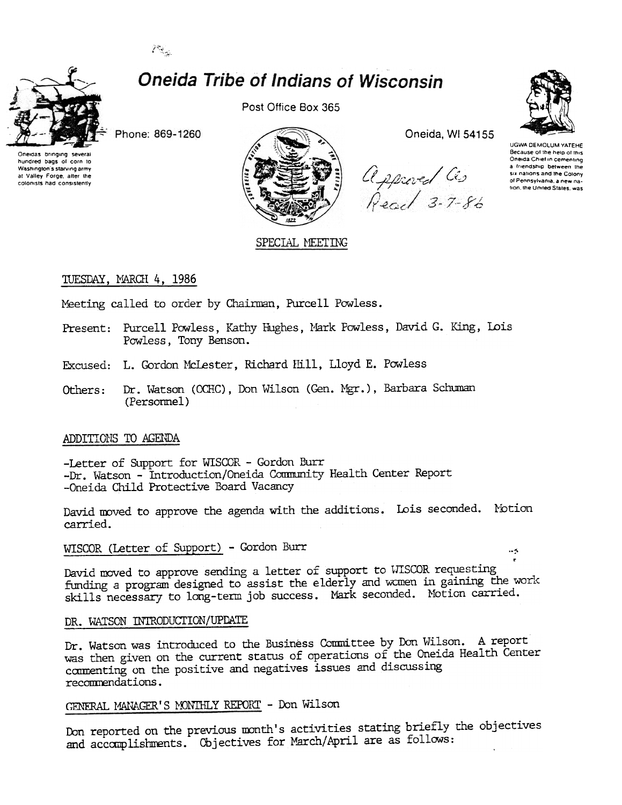

# Oneida Tribe of Indians of Wisconsin

Phone: 869-1260



Post Office Box 365



SPECIAL MEETING



Oneida, WI 54155



**UGWA DEMOLUM YATEHE** Because of the help of this<br>Oneida Chief in cementing a friendship between the six nations and the Colony of Pennsylvania, a new nation, the United States, was

 $-5$ 

### TUESDAY, MARCH 4, 1986

Meeting called to order by Chairman, Purcell Powless.

- Present: Purcell Powless, Kathy Hughes, Mark Powless, David G. King, Lois Powless, Tony Benson.
- Excused: L. Gordon McLester, Richard Hill, Lloyd E. Powless
- Dr. Watson (OCHC), Don Wilson (Gen. Mgr.), Barbara Schuman Others: (Personnel)

#### ADDITIONS TO AGENDA

-Letter of Support for WISCOR - Gordon Burr -Dr. Watson - Introduction/Oneida Community Health Center Report -Oneida Child Protective Board Vacancy

David moved to approve the agenda with the additions. Lois seconded. Notion carried.

WISCOR (Letter of Support) - Gordon Burr

David moved to approve sending a letter of support to WISCOR requesting funding a program designed to assist the elderly and women in gaining the work skills necessary to long-term job success. Mark seconded. Motion carried.

## DR. WATSON INTRODUCTION/UPDATE

Dr. Watson was introduced to the Business Committee by Don Wilson. A report was then given on the current status of operations of the Oneida Health Center commenting on the positive and negatives issues and discussing recommendations.

## GENERAL MANAGER'S MONTHLY REPORT - Don Wilson

Don reported on the previous month's activities stating briefly the objectives and accomplishments. Objectives for March/April are as follows:

 $\mathcal{P}_{\mathcal{F}_{\mathcal{G}}}$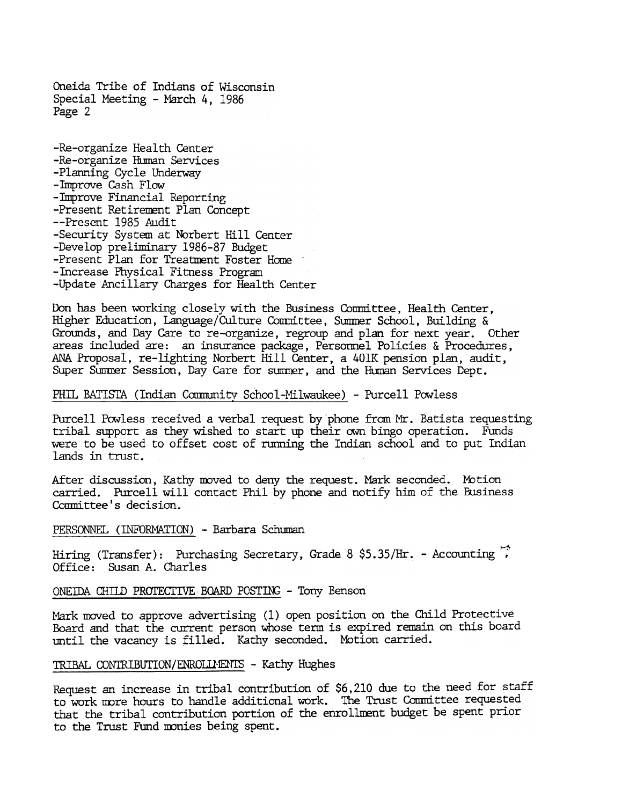Oneida Tribe of Indians of Wisconsin Special Meeting - March 4, 1986 Page 2

-Re-organize Health Center -Re-organize Human Services -Plarming Cycle Underway -Improve Cash Flow -Improve Financial Reporting -Present Retirement Plan Concept --Present 1985 Audit -Security System at Norbert Hill Center -Develop preliminary 1986-87 Budget<br>-Present Plan for Treatment Foster Home -Increase Physical Fitness Program -Update Ancillary Charges for Health Center

Don has been working closely with the Business Conmittee, Health Center, Higher Education, Language/Culture Committee, Summer School, Building  $\delta$ Grounds, and Day Care to re-organize, regroup and plan for next year. Other areas included are: an insurance paCkage, Personnel Policies & Procedures, ANA Proposal, re-lighting Norbert Hill Center, a 40lK pension plan, audit, Super Stmmer Session, Day Care for surrmer, and the Human Services Dept.

#### PHIL BATISTA (Indian Community School-Milwaukee) - Purcell Powless

Purcell Powless received a verbal request by phone from Mr. Batista requesting tribal support as they wished to start up their own bingo operation. Funds were to be used to offset cost of running the Indian school and to put Indian lands in trust.

After discussion, Kathy moved to deny the request. Mark seconded. Motion carried. Purcell will contact Phil by phone and notify him of the Business Committee's decision.

PERSONNEL (INFORMATION) - Barbara Schuman

Hiring (Transfer): Purchasing Secretary, Grade 8 \$5.35/Hr. - Accounting Office: Susan A. Charles

ONEIDA CHILD PROTECTIVE BOARD POSTING - Tony Benson

Mark moved to approve advertising (1) open position on the Child Protective Board and that the current person Whose term is expired remain on this board until the vacancy is filled. Kathy seconded. Motion carried.

#### TRIBAL CONTRIBUTION/ENROLLMENTS - Kathy Hughes

Request an increase in tribal contribution of \$6,210 due to the need for staff to work more hours to handle additional work. The Trust Committee requested that the tribal contribution portion of the enrollment budget be spent prior to the Trust Fund monies being spent.